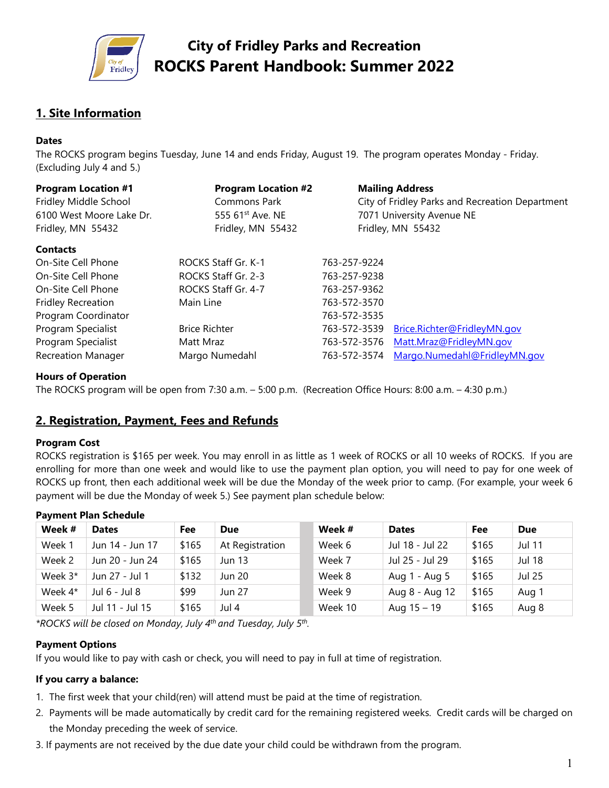

# **1. Site Information**

#### **Dates**

The ROCKS program begins Tuesday, June 14 and ends Friday, August 19. The program operates Monday - Friday. (Excluding July 4 and 5.)

| <b>Program Location #1</b><br>Fridley Middle School<br>6100 West Moore Lake Dr.<br>Fridley, MN 55432 | <b>Program Location #2</b><br>Commons Park<br>555 61 <sup>st</sup> Ave. NE<br>Fridley, MN 55432 |              | <b>Mailing Address</b><br>City of Fridley Parks and Recreation Department<br>7071 University Avenue NE<br>Fridley, MN 55432 |  |  |  |
|------------------------------------------------------------------------------------------------------|-------------------------------------------------------------------------------------------------|--------------|-----------------------------------------------------------------------------------------------------------------------------|--|--|--|
| <b>Contacts</b>                                                                                      |                                                                                                 |              |                                                                                                                             |  |  |  |
| On-Site Cell Phone                                                                                   | ROCKS Staff Gr. K-1                                                                             | 763-257-9224 |                                                                                                                             |  |  |  |
| On-Site Cell Phone                                                                                   | ROCKS Staff Gr. 2-3                                                                             | 763-257-9238 |                                                                                                                             |  |  |  |
| On-Site Cell Phone                                                                                   | ROCKS Staff Gr. 4-7                                                                             | 763-257-9362 |                                                                                                                             |  |  |  |
| <b>Fridley Recreation</b>                                                                            | Main Line                                                                                       | 763-572-3570 |                                                                                                                             |  |  |  |
| Program Coordinator                                                                                  |                                                                                                 | 763-572-3535 |                                                                                                                             |  |  |  |
| Program Specialist                                                                                   | <b>Brice Richter</b>                                                                            | 763-572-3539 | Brice.Richter@FridleyMN.gov                                                                                                 |  |  |  |
| Program Specialist                                                                                   | Matt Mraz                                                                                       | 763-572-3576 | Matt.Mraz@FridleyMN.gov                                                                                                     |  |  |  |
| <b>Recreation Manager</b>                                                                            | Margo Numedahl                                                                                  | 763-572-3574 | Margo.Numedahl@FridleyMN.gov                                                                                                |  |  |  |

#### **Hours of Operation**

The ROCKS program will be open from 7:30 a.m. – 5:00 p.m. (Recreation Office Hours: 8:00 a.m. – 4:30 p.m.)

### **2. Registration, Payment, Fees and Refunds**

#### **Program Cost**

ROCKS registration is \$165 per week. You may enroll in as little as 1 week of ROCKS or all 10 weeks of ROCKS. If you are enrolling for more than one week and would like to use the payment plan option, you will need to pay for one week of ROCKS up front, then each additional week will be due the Monday of the week prior to camp. (For example, your week 6 payment will be due the Monday of week 5.) See payment plan schedule below:

| <i>.</i>  |                 |       |                 |  |         |                 |       |               |
|-----------|-----------------|-------|-----------------|--|---------|-----------------|-------|---------------|
| Week #    | <b>Dates</b>    | Fee   | <b>Due</b>      |  | Week #  | <b>Dates</b>    | Fee   | <b>Due</b>    |
| Week 1    | Jun 14 - Jun 17 | \$165 | At Registration |  | Week 6  | Jul 18 - Jul 22 | \$165 | <b>Jul 11</b> |
| Week 2    | Jun 20 - Jun 24 | \$165 | <b>Jun 13</b>   |  | Week 7  | Jul 25 - Jul 29 | \$165 | <b>Jul 18</b> |
| Week $3*$ | Jun 27 - Jul 1  | \$132 | Jun 20          |  | Week 8  | Aug 1 - Aug 5   | \$165 | <b>Jul 25</b> |
| Week 4*   | Jul 6 - Jul 8   | \$99  | Jun 27          |  | Week 9  | Aug 8 - Aug 12  | \$165 | Aug 1         |
| Week 5    | Jul 11 - Jul 15 | \$165 | Jul 4           |  | Week 10 | Aug $15 - 19$   | \$165 | Aug 8         |

#### **Payment Plan Schedule**

*\*ROCKS will be closed on Monday, July 4th and Tuesday, July 5th.* 

#### **Payment Options**

If you would like to pay with cash or check, you will need to pay in full at time of registration.

#### **If you carry a balance:**

- 1. The first week that your child(ren) will attend must be paid at the time of registration.
- 2. Payments will be made automatically by credit card for the remaining registered weeks. Credit cards will be charged on the Monday preceding the week of service.
- 3. If payments are not received by the due date your child could be withdrawn from the program.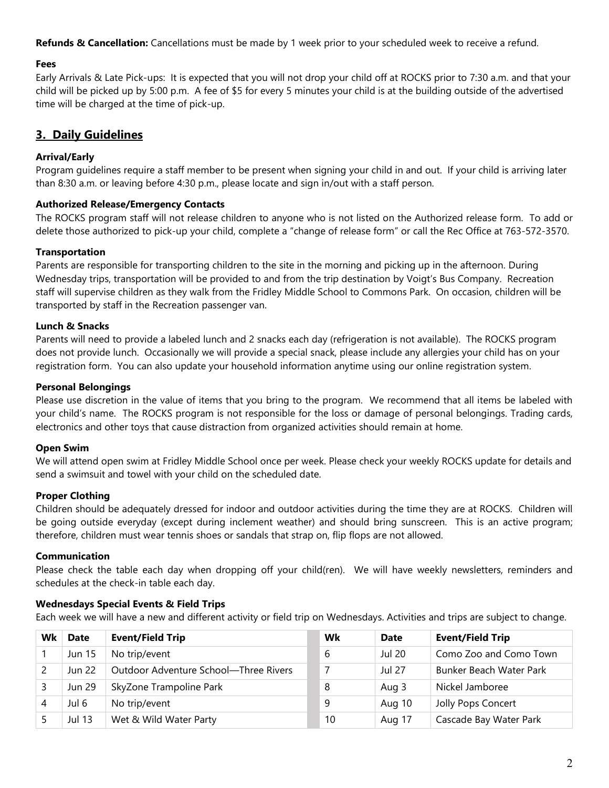**Refunds & Cancellation:** Cancellations must be made by 1 week prior to your scheduled week to receive a refund.

#### **Fees**

Early Arrivals & Late Pick-ups: It is expected that you will not drop your child off at ROCKS prior to 7:30 a.m. and that your child will be picked up by 5:00 p.m. A fee of \$5 for every 5 minutes your child is at the building outside of the advertised time will be charged at the time of pick-up.

### **3. Daily Guidelines**

#### **Arrival/Early**

Program guidelines require a staff member to be present when signing your child in and out. If your child is arriving later than 8:30 a.m. or leaving before 4:30 p.m., please locate and sign in/out with a staff person.

#### **Authorized Release/Emergency Contacts**

The ROCKS program staff will not release children to anyone who is not listed on the Authorized release form. To add or delete those authorized to pick-up your child, complete a "change of release form" or call the Rec Office at 763-572-3570.

#### **Transportation**

Parents are responsible for transporting children to the site in the morning and picking up in the afternoon. During Wednesday trips, transportation will be provided to and from the trip destination by Voigt's Bus Company. Recreation staff will supervise children as they walk from the Fridley Middle School to Commons Park. On occasion, children will be transported by staff in the Recreation passenger van.

#### **Lunch & Snacks**

Parents will need to provide a labeled lunch and 2 snacks each day (refrigeration is not available). The ROCKS program does not provide lunch. Occasionally we will provide a special snack, please include any allergies your child has on your registration form. You can also update your household information anytime using our online registration system.

#### **Personal Belongings**

Please use discretion in the value of items that you bring to the program. We recommend that all items be labeled with your child's name. The ROCKS program is not responsible for the loss or damage of personal belongings. Trading cards, electronics and other toys that cause distraction from organized activities should remain at home.

#### **Open Swim**

We will attend open swim at Fridley Middle School once per week. Please check your weekly ROCKS update for details and send a swimsuit and towel with your child on the scheduled date.

#### **Proper Clothing**

Children should be adequately dressed for indoor and outdoor activities during the time they are at ROCKS. Children will be going outside everyday (except during inclement weather) and should bring sunscreen. This is an active program; therefore, children must wear tennis shoes or sandals that strap on, flip flops are not allowed.

#### **Communication**

Please check the table each day when dropping off your child(ren). We will have weekly newsletters, reminders and schedules at the check-in table each day.

#### **Wednesdays Special Events & Field Trips**

Each week we will have a new and different activity or field trip on Wednesdays. Activities and trips are subject to change.

| Wk | <b>Date</b>   | <b>Event/Field Trip</b>               | Wk | <b>Date</b>   | <b>Event/Field Trip</b> |
|----|---------------|---------------------------------------|----|---------------|-------------------------|
|    | Jun 15        | No trip/event                         | 6  | Jul 20        | Como Zoo and Como Town  |
|    | <b>Jun 22</b> | Outdoor Adventure School-Three Rivers |    | <b>Jul 27</b> | Bunker Beach Water Park |
|    | <b>Jun 29</b> | SkyZone Trampoline Park               | 8  | Aug 3         | Nickel Jamboree         |
|    | Jul 6         | No trip/event                         | 9  | Aug 10        | Jolly Pops Concert      |
|    | Jul 13        | Wet & Wild Water Party                | 10 | Aug 17        | Cascade Bay Water Park  |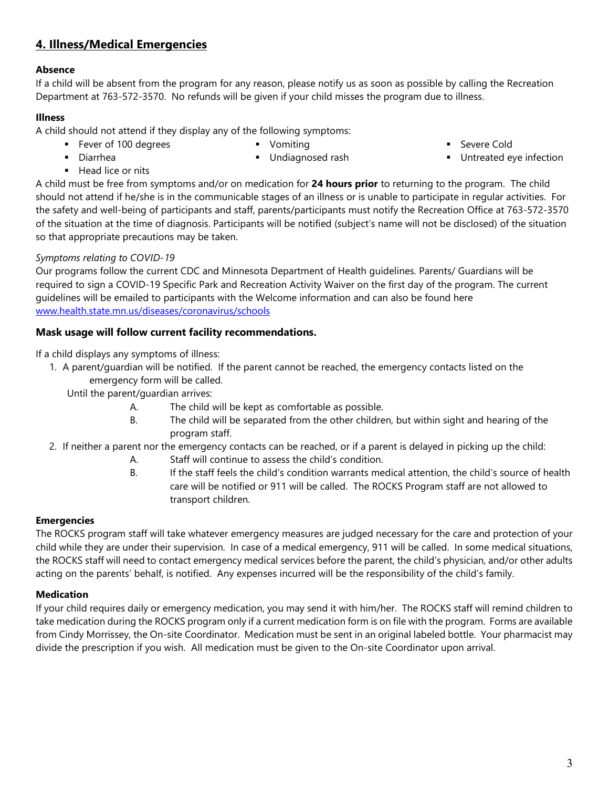# **4. Illness/Medical Emergencies**

# **Absence**

If a child will be absent from the program for any reason, please notify us as soon as possible by calling the Recreation Department at 763-572-3570. No refunds will be given if your child misses the program due to illness.

### **Illness**

A child should not attend if they display any of the following symptoms:

- **Fever of 100 degrees •** Vomiting
- Diarrhea

**Undiagnosed rash** 

- **Severe Cold**
- **Untreated eye infection**

 $H$  Head lice or nits

A child must be free from symptoms and/or on medication for **24 hours prior** to returning to the program. The child should not attend if he/she is in the communicable stages of an illness or is unable to participate in regular activities. For the safety and well-being of participants and staff, parents/participants must notify the Recreation Office at 763-572-3570 of the situation at the time of diagnosis. Participants will be notified (subject's name will not be disclosed) of the situation so that appropriate precautions may be taken.

### *Symptoms relating to COVID-19*

Our programs follow the current CDC and Minnesota Department of Health guidelines. Parents/ Guardians will be required to sign a COVID-19 Specific Park and Recreation Activity Waiver on the first day of the program. The current guidelines will be emailed to participants with the Welcome information and can also be found here [www.health.state.mn.us/diseases/coronavirus/schools](http://www.health.state.mn.us/diseases/coronavirus/schools)

### **Mask usage will follow current facility recommendations.**

If a child displays any symptoms of illness:

- 1. A parent/guardian will be notified. If the parent cannot be reached, the emergency contacts listed on the emergency form will be called.
	- Until the parent/guardian arrives:
		- A. The child will be kept as comfortable as possible.
		- B. The child will be separated from the other children, but within sight and hearing of the program staff.
- 2. If neither a parent nor the emergency contacts can be reached, or if a parent is delayed in picking up the child:
	- A. Staff will continue to assess the child's condition.
	- B. If the staff feels the child's condition warrants medical attention, the child's source of health care will be notified or 911 will be called. The ROCKS Program staff are not allowed to transport children.

### **Emergencies**

The ROCKS program staff will take whatever emergency measures are judged necessary for the care and protection of your child while they are under their supervision. In case of a medical emergency, 911 will be called. In some medical situations, the ROCKS staff will need to contact emergency medical services before the parent, the child's physician, and/or other adults acting on the parents' behalf, is notified. Any expenses incurred will be the responsibility of the child's family.

### **Medication**

If your child requires daily or emergency medication, you may send it with him/her. The ROCKS staff will remind children to take medication during the ROCKS program only if a current medication form is on file with the program. Forms are available from Cindy Morrissey, the On-site Coordinator. Medication must be sent in an original labeled bottle. Your pharmacist may divide the prescription if you wish. All medication must be given to the On-site Coordinator upon arrival.